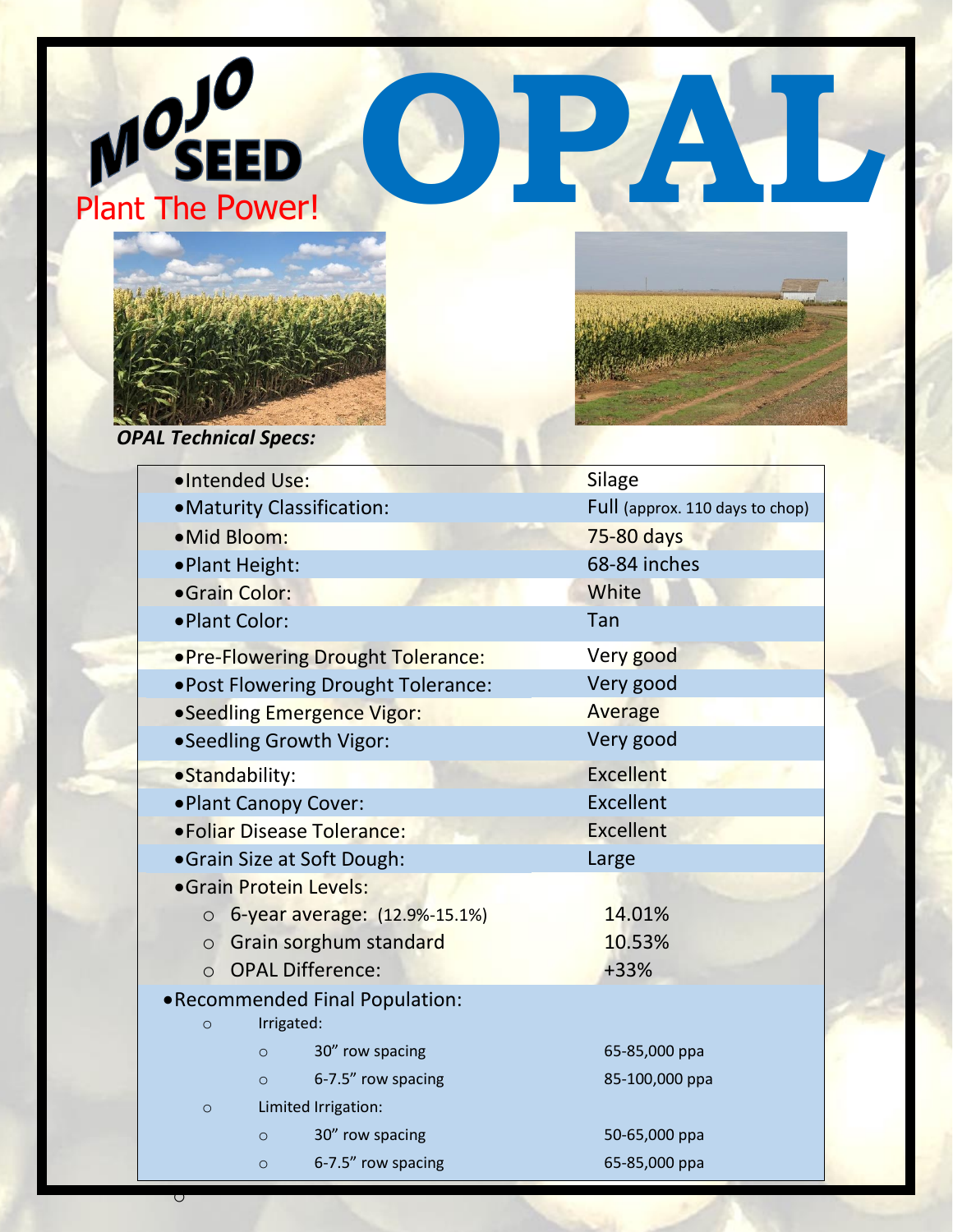





*OPAL Technical Specs:*

o



|                             | ·Intended Use:                    |                                          |                                    | <b>Silage</b>                   |  |
|-----------------------------|-----------------------------------|------------------------------------------|------------------------------------|---------------------------------|--|
|                             | • Maturity Classification:        |                                          |                                    | Full (approx. 110 days to chop) |  |
|                             | ·Mid Bloom:                       |                                          |                                    | 75-80 days                      |  |
|                             | ·Plant Height:                    |                                          |                                    | 68-84 inches                    |  |
| ·Grain Color:               |                                   |                                          |                                    | White                           |  |
|                             | ·Plant Color:                     |                                          |                                    | Tan                             |  |
|                             | .Pre-Flowering Drought Tolerance: |                                          |                                    | Very good                       |  |
|                             |                                   |                                          | .Post Flowering Drought Tolerance: | Very good                       |  |
|                             | • Seedling Emergence Vigor:       |                                          |                                    | <b>Average</b>                  |  |
|                             | • Seedling Growth Vigor:          |                                          |                                    | Very good                       |  |
| ·Standability:              |                                   |                                          |                                    | Excellent                       |  |
| . Plant Canopy Cover:       |                                   |                                          |                                    | Excellent                       |  |
| • Foliar Disease Tolerance: |                                   |                                          |                                    | <b>Excellent</b>                |  |
| • Grain Size at Soft Dough: |                                   |                                          |                                    | Large                           |  |
|                             |                                   |                                          | • Grain Protein Levels:            |                                 |  |
|                             |                                   | 6-year average: (12.9%-15.1%)<br>$\circ$ |                                    | 14.01%                          |  |
|                             | $\circ$                           |                                          | Grain sorghum standard             | 10.53%                          |  |
|                             | $\Omega$                          |                                          | <b>OPAL Difference:</b>            | +33%                            |  |
|                             |                                   |                                          | •Recommended Final Population:     |                                 |  |
|                             | $\circ$                           |                                          | Irrigated:                         |                                 |  |
|                             |                                   | $\circ$                                  | 30" row spacing                    | 65-85,000 ppa                   |  |
|                             |                                   | $\circ$                                  | 6-7.5" row spacing                 | 85-100,000 ppa                  |  |
|                             | $\circ$                           |                                          | Limited Irrigation:                |                                 |  |
|                             |                                   | $\circ$                                  | 30" row spacing                    | 50-65,000 ppa                   |  |
|                             |                                   | $\circ$                                  | 6-7.5" row spacing                 | 65-85,000 ppa                   |  |